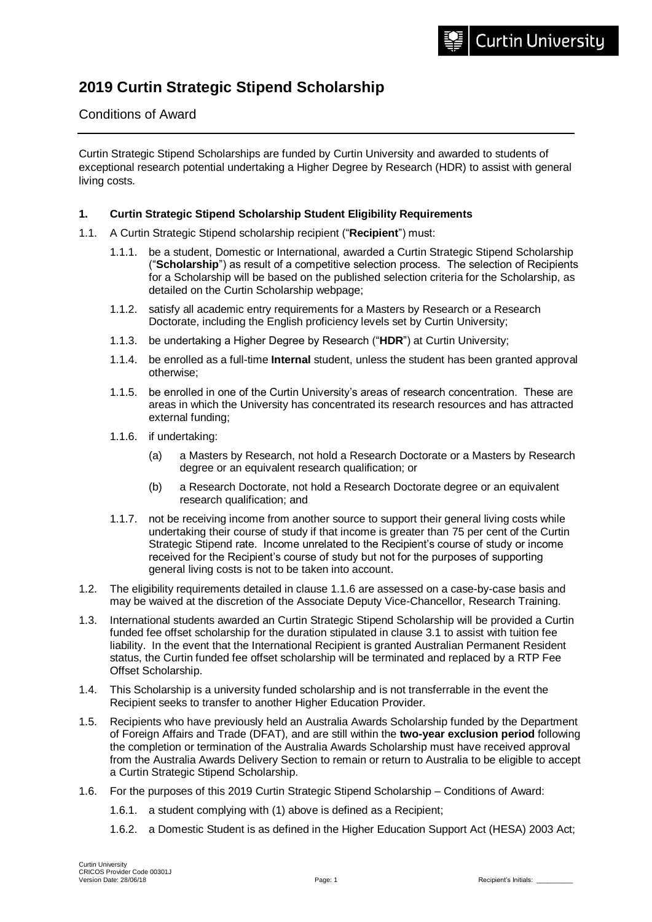# **2019 Curtin Strategic Stipend Scholarship**

# Conditions of Award

Curtin Strategic Stipend Scholarships are funded by Curtin University and awarded to students of exceptional research potential undertaking a Higher Degree by Research (HDR) to assist with general living costs.

## **1. Curtin Strategic Stipend Scholarship Student Eligibility Requirements**

- 1.1. A Curtin Strategic Stipend scholarship recipient ("**Recipient**") must:
	- 1.1.1. be a student, Domestic or International, awarded a Curtin Strategic Stipend Scholarship ("**Scholarship**") as result of a competitive selection process. The selection of Recipients for a Scholarship will be based on the published selection criteria for the Scholarship, as detailed on the Curtin Scholarship webpage;
	- 1.1.2. satisfy all academic entry requirements for a Masters by Research or a Research Doctorate, including the English proficiency levels set by Curtin University;
	- 1.1.3. be undertaking a Higher Degree by Research ("**HDR**") at Curtin University;
	- 1.1.4. be enrolled as a full-time **Internal** student, unless the student has been granted approval otherwise;
	- 1.1.5. be enrolled in one of the Curtin University's areas of research concentration. These are areas in which the University has concentrated its research resources and has attracted external funding;
	- 1.1.6. if undertaking:
		- (a) a Masters by Research, not hold a Research Doctorate or a Masters by Research degree or an equivalent research qualification; or
		- (b) a Research Doctorate, not hold a Research Doctorate degree or an equivalent research qualification; and
	- 1.1.7. not be receiving income from another source to support their general living costs while undertaking their course of study if that income is greater than 75 per cent of the Curtin Strategic Stipend rate. Income unrelated to the Recipient's course of study or income received for the Recipient's course of study but not for the purposes of supporting general living costs is not to be taken into account.
- 1.2. The eligibility requirements detailed in clause 1.1.6 are assessed on a case-by-case basis and may be waived at the discretion of the Associate Deputy Vice-Chancellor, Research Training.
- 1.3. International students awarded an Curtin Strategic Stipend Scholarship will be provided a Curtin funded fee offset scholarship for the duration stipulated in clause 3.1 to assist with tuition fee liability. In the event that the International Recipient is granted Australian Permanent Resident status, the Curtin funded fee offset scholarship will be terminated and replaced by a RTP Fee Offset Scholarship.
- 1.4. This Scholarship is a university funded scholarship and is not transferrable in the event the Recipient seeks to transfer to another Higher Education Provider.
- 1.5. Recipients who have previously held an Australia Awards Scholarship funded by the Department of Foreign Affairs and Trade (DFAT), and are still within the **two-year exclusion period** following the completion or termination of the Australia Awards Scholarship must have received approval from the Australia Awards Delivery Section to remain or return to Australia to be eligible to accept a Curtin Strategic Stipend Scholarship.
- 1.6. For the purposes of this 2019 Curtin Strategic Stipend Scholarship Conditions of Award:
	- 1.6.1. a student complying with (1) above is defined as a Recipient;
	- 1.6.2. a Domestic Student is as defined in the Higher Education Support Act (HESA) 2003 Act;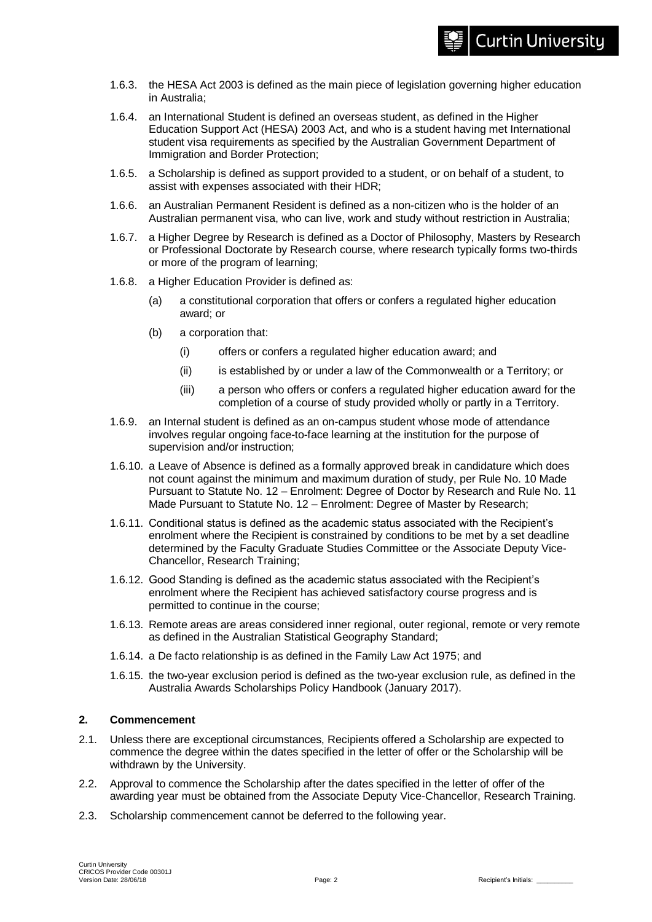- 1.6.3. the HESA Act 2003 is defined as the main piece of legislation governing higher education in Australia;
- 1.6.4. an International Student is defined an overseas student, as defined in the Higher Education Support Act (HESA) 2003 Act, and who is a student having met International student visa requirements as specified by the Australian Government Department of Immigration and Border Protection;
- 1.6.5. a Scholarship is defined as support provided to a student, or on behalf of a student, to assist with expenses associated with their HDR;
- 1.6.6. an Australian Permanent Resident is defined as a non-citizen who is the holder of an Australian permanent visa, who can live, work and study without restriction in Australia;
- 1.6.7. a Higher Degree by Research is defined as a Doctor of Philosophy, Masters by Research or Professional Doctorate by Research course, where research typically forms two-thirds or more of the program of learning;
- 1.6.8. a Higher Education Provider is defined as:
	- (a) a constitutional corporation that offers or confers a regulated higher education award; or
	- (b) a corporation that:
		- (i) offers or confers a regulated higher education award; and
		- (ii) is established by or under a law of the Commonwealth or a Territory; or
		- (iii) a person who offers or confers a regulated higher education award for the completion of a course of study provided wholly or partly in a Territory.
- 1.6.9. an Internal student is defined as an on-campus student whose mode of attendance involves regular ongoing face-to-face learning at the institution for the purpose of supervision and/or instruction;
- 1.6.10. a Leave of Absence is defined as a formally approved break in candidature which does not count against the minimum and maximum duration of study, per Rule No. 10 Made Pursuant to Statute No. 12 – Enrolment: Degree of Doctor by Research and Rule No. 11 Made Pursuant to Statute No. 12 – Enrolment: Degree of Master by Research;
- 1.6.11. Conditional status is defined as the academic status associated with the Recipient's enrolment where the Recipient is constrained by conditions to be met by a set deadline determined by the Faculty Graduate Studies Committee or the Associate Deputy Vice-Chancellor, Research Training;
- 1.6.12. Good Standing is defined as the academic status associated with the Recipient's enrolment where the Recipient has achieved satisfactory course progress and is permitted to continue in the course;
- 1.6.13. Remote areas are areas considered inner regional, outer regional, remote or very remote as defined in the Australian Statistical Geography Standard;
- 1.6.14. a De facto relationship is as defined in the Family Law Act 1975; and
- 1.6.15. the two-year exclusion period is defined as the two-year exclusion rule, as defined in the Australia Awards Scholarships Policy Handbook (January 2017).

## **2. Commencement**

- 2.1. Unless there are exceptional circumstances, Recipients offered a Scholarship are expected to commence the degree within the dates specified in the letter of offer or the Scholarship will be withdrawn by the University.
- 2.2. Approval to commence the Scholarship after the dates specified in the letter of offer of the awarding year must be obtained from the Associate Deputy Vice-Chancellor, Research Training.
- 2.3. Scholarship commencement cannot be deferred to the following year.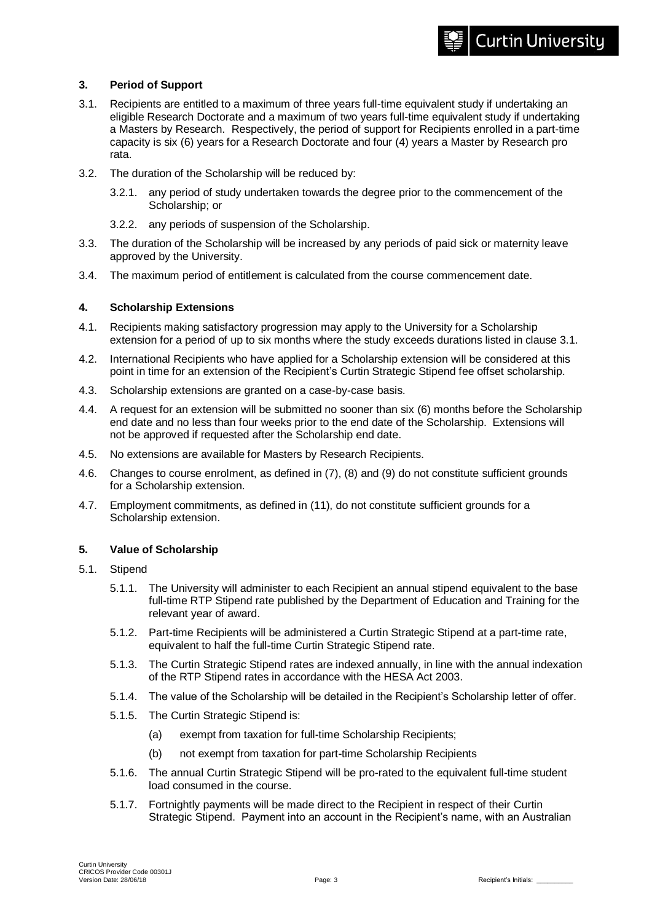# **3. Period of Support**

- 3.1. Recipients are entitled to a maximum of three years full-time equivalent study if undertaking an eligible Research Doctorate and a maximum of two years full-time equivalent study if undertaking a Masters by Research. Respectively, the period of support for Recipients enrolled in a part-time capacity is six (6) years for a Research Doctorate and four (4) years a Master by Research pro rata.
- 3.2. The duration of the Scholarship will be reduced by:
	- 3.2.1. any period of study undertaken towards the degree prior to the commencement of the Scholarship; or
	- 3.2.2. any periods of suspension of the Scholarship.
- 3.3. The duration of the Scholarship will be increased by any periods of paid sick or maternity leave approved by the University.
- 3.4. The maximum period of entitlement is calculated from the course commencement date.

## **4. Scholarship Extensions**

- 4.1. Recipients making satisfactory progression may apply to the University for a Scholarship extension for a period of up to six months where the study exceeds durations listed in clause 3.1.
- 4.2. International Recipients who have applied for a Scholarship extension will be considered at this point in time for an extension of the Recipient's Curtin Strategic Stipend fee offset scholarship.
- 4.3. Scholarship extensions are granted on a case-by-case basis.
- 4.4. A request for an extension will be submitted no sooner than six (6) months before the Scholarship end date and no less than four weeks prior to the end date of the Scholarship. Extensions will not be approved if requested after the Scholarship end date.
- 4.5. No extensions are available for Masters by Research Recipients.
- 4.6. Changes to course enrolment, as defined in (7), (8) and (9) do not constitute sufficient grounds for a Scholarship extension.
- 4.7. Employment commitments, as defined in (11), do not constitute sufficient grounds for a Scholarship extension.

## **5. Value of Scholarship**

- 5.1. Stipend
	- 5.1.1. The University will administer to each Recipient an annual stipend equivalent to the base full-time RTP Stipend rate published by the Department of Education and Training for the relevant year of award.
	- 5.1.2. Part-time Recipients will be administered a Curtin Strategic Stipend at a part-time rate, equivalent to half the full-time Curtin Strategic Stipend rate.
	- 5.1.3. The Curtin Strategic Stipend rates are indexed annually, in line with the annual indexation of the RTP Stipend rates in accordance with the HESA Act 2003.
	- 5.1.4. The value of the Scholarship will be detailed in the Recipient's Scholarship letter of offer.
	- 5.1.5. The Curtin Strategic Stipend is:
		- (a) exempt from taxation for full-time Scholarship Recipients;
		- (b) not exempt from taxation for part-time Scholarship Recipients
	- 5.1.6. The annual Curtin Strategic Stipend will be pro-rated to the equivalent full-time student load consumed in the course.
	- 5.1.7. Fortnightly payments will be made direct to the Recipient in respect of their Curtin Strategic Stipend. Payment into an account in the Recipient's name, with an Australian

**Curtin University**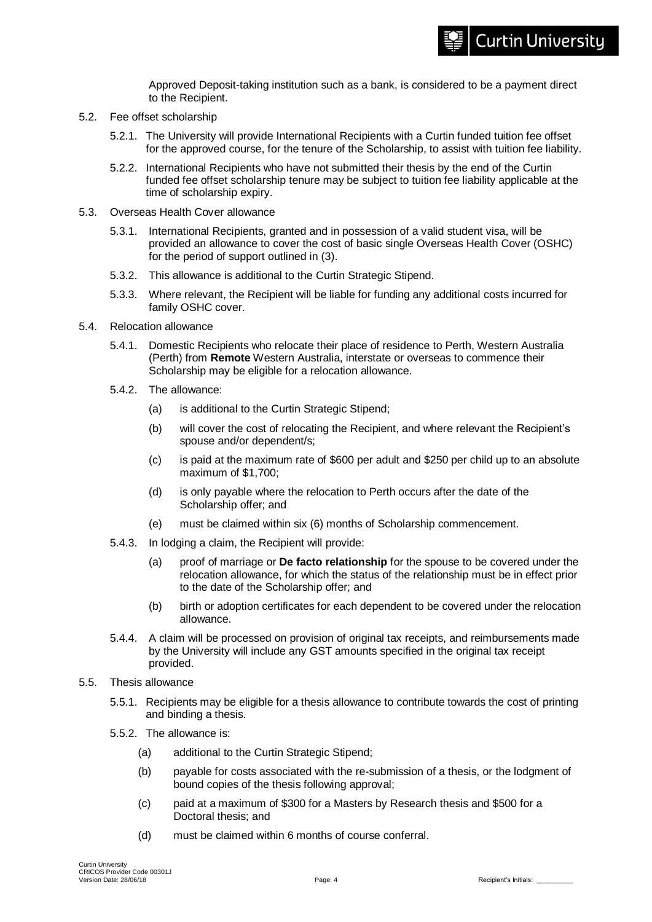Approved Deposit-taking institution such as a bank, is considered to be a payment direct to the Recipient.

- 5.2. Fee offset scholarship
	- 5.2.1. The University will provide International Recipients with a Curtin funded tuition fee offset for the approved course, for the tenure of the Scholarship, to assist with tuition fee liability.
	- 5.2.2. International Recipients who have not submitted their thesis by the end of the Curtin funded fee offset scholarship tenure may be subject to tuition fee liability applicable at the time of scholarship expiry.
- 5.3. Overseas Health Cover allowance
	- 5.3.1. International Recipients, granted and in possession of a valid student visa, will be provided an allowance to cover the cost of basic single Overseas Health Cover (OSHC) for the period of support outlined in (3).
	- 5.3.2. This allowance is additional to the Curtin Strategic Stipend.
	- 5.3.3. Where relevant, the Recipient will be liable for funding any additional costs incurred for family OSHC cover.
- 5.4. Relocation allowance
	- 5.4.1. Domestic Recipients who relocate their place of residence to Perth, Western Australia (Perth) from **Remote** Western Australia, interstate or overseas to commence their Scholarship may be eligible for a relocation allowance.
	- 5.4.2. The allowance:
		- (a) is additional to the Curtin Strategic Stipend;
		- (b) will cover the cost of relocating the Recipient, and where relevant the Recipient's spouse and/or dependent/s;
		- (c) is paid at the maximum rate of \$600 per adult and \$250 per child up to an absolute maximum of \$1,700;
		- (d) is only payable where the relocation to Perth occurs after the date of the Scholarship offer; and
		- (e) must be claimed within six (6) months of Scholarship commencement.
	- 5.4.3. In lodging a claim, the Recipient will provide:
		- (a) proof of marriage or **De facto relationship** for the spouse to be covered under the relocation allowance, for which the status of the relationship must be in effect prior to the date of the Scholarship offer; and
		- (b) birth or adoption certificates for each dependent to be covered under the relocation allowance.
	- 5.4.4. A claim will be processed on provision of original tax receipts, and reimbursements made by the University will include any GST amounts specified in the original tax receipt provided.
- 5.5. Thesis allowance
	- 5.5.1. Recipients may be eligible for a thesis allowance to contribute towards the cost of printing and binding a thesis.
	- 5.5.2. The allowance is:
		- (a) additional to the Curtin Strategic Stipend;
		- (b) payable for costs associated with the re-submission of a thesis, or the lodgment of bound copies of the thesis following approval;
		- (c) paid at a maximum of \$300 for a Masters by Research thesis and \$500 for a Doctoral thesis; and
		- (d) must be claimed within 6 months of course conferral.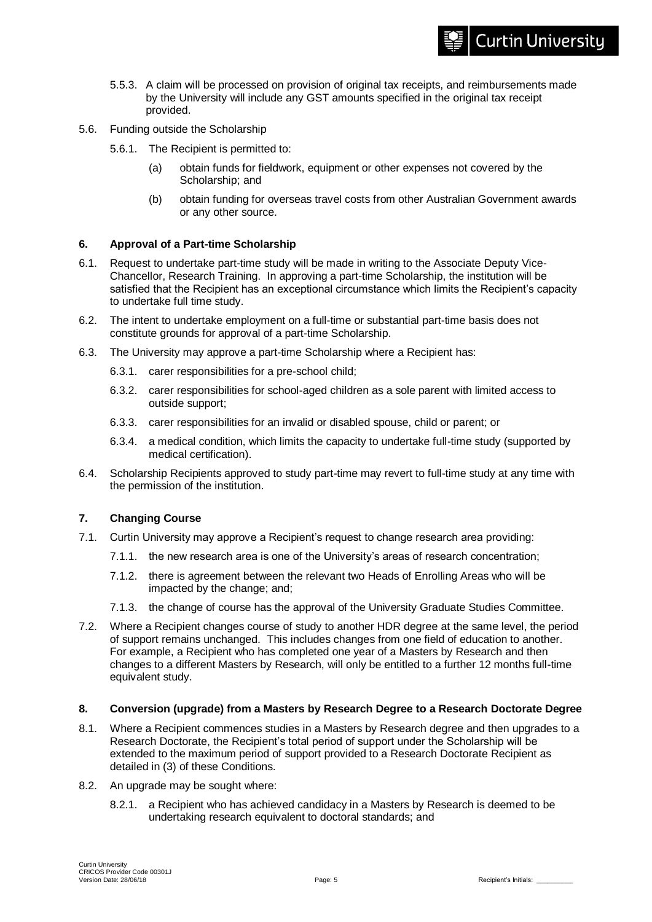- 5.5.3. A claim will be processed on provision of original tax receipts, and reimbursements made by the University will include any GST amounts specified in the original tax receipt provided.
- 5.6. Funding outside the Scholarship
	- 5.6.1. The Recipient is permitted to:
		- (a) obtain funds for fieldwork, equipment or other expenses not covered by the Scholarship; and
		- (b) obtain funding for overseas travel costs from other Australian Government awards or any other source.

#### **6. Approval of a Part-time Scholarship**

- 6.1. Request to undertake part-time study will be made in writing to the Associate Deputy Vice-Chancellor, Research Training. In approving a part-time Scholarship, the institution will be satisfied that the Recipient has an exceptional circumstance which limits the Recipient's capacity to undertake full time study.
- 6.2. The intent to undertake employment on a full-time or substantial part-time basis does not constitute grounds for approval of a part-time Scholarship.
- 6.3. The University may approve a part-time Scholarship where a Recipient has:
	- 6.3.1. carer responsibilities for a pre-school child;
	- 6.3.2. carer responsibilities for school-aged children as a sole parent with limited access to outside support;
	- 6.3.3. carer responsibilities for an invalid or disabled spouse, child or parent; or
	- 6.3.4. a medical condition, which limits the capacity to undertake full-time study (supported by medical certification).
- 6.4. Scholarship Recipients approved to study part-time may revert to full-time study at any time with the permission of the institution.

## **7. Changing Course**

- 7.1. Curtin University may approve a Recipient's request to change research area providing:
	- 7.1.1. the new research area is one of the University's areas of research concentration;
	- 7.1.2. there is agreement between the relevant two Heads of Enrolling Areas who will be impacted by the change; and;
	- 7.1.3. the change of course has the approval of the University Graduate Studies Committee.
- 7.2. Where a Recipient changes course of study to another HDR degree at the same level, the period of support remains unchanged. This includes changes from one field of education to another. For example, a Recipient who has completed one year of a Masters by Research and then changes to a different Masters by Research, will only be entitled to a further 12 months full-time equivalent study.

#### **8. Conversion (upgrade) from a Masters by Research Degree to a Research Doctorate Degree**

- 8.1. Where a Recipient commences studies in a Masters by Research degree and then upgrades to a Research Doctorate, the Recipient's total period of support under the Scholarship will be extended to the maximum period of support provided to a Research Doctorate Recipient as detailed in (3) of these Conditions.
- 8.2. An upgrade may be sought where:
	- 8.2.1. a Recipient who has achieved candidacy in a Masters by Research is deemed to be undertaking research equivalent to doctoral standards; and

**Curtin University**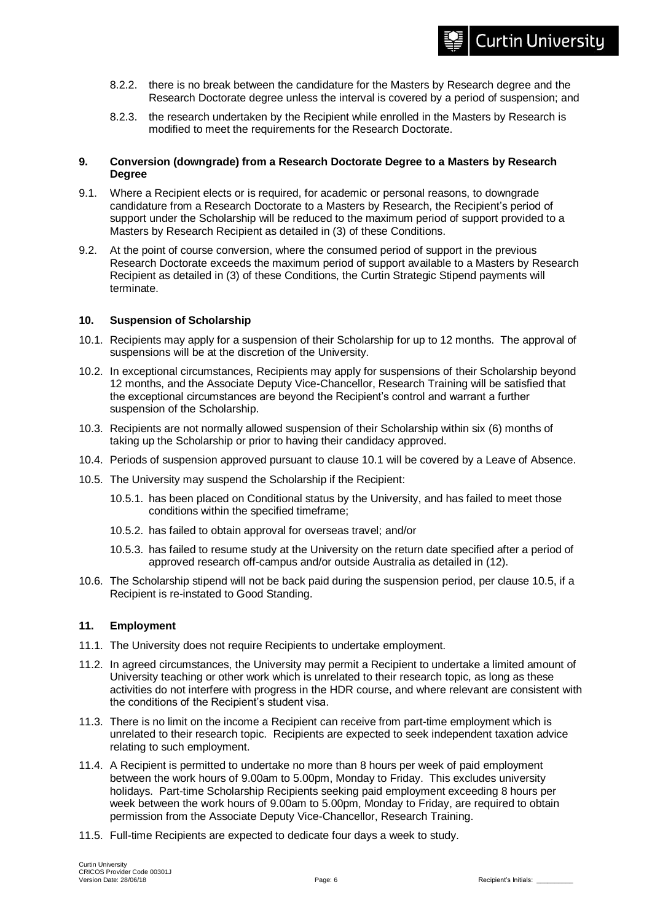- 8.2.2. there is no break between the candidature for the Masters by Research degree and the Research Doctorate degree unless the interval is covered by a period of suspension; and
- 8.2.3. the research undertaken by the Recipient while enrolled in the Masters by Research is modified to meet the requirements for the Research Doctorate.

#### **9. Conversion (downgrade) from a Research Doctorate Degree to a Masters by Research Degree**

- 9.1. Where a Recipient elects or is required, for academic or personal reasons, to downgrade candidature from a Research Doctorate to a Masters by Research, the Recipient's period of support under the Scholarship will be reduced to the maximum period of support provided to a Masters by Research Recipient as detailed in (3) of these Conditions.
- 9.2. At the point of course conversion, where the consumed period of support in the previous Research Doctorate exceeds the maximum period of support available to a Masters by Research Recipient as detailed in (3) of these Conditions, the Curtin Strategic Stipend payments will terminate.

## **10. Suspension of Scholarship**

- 10.1. Recipients may apply for a suspension of their Scholarship for up to 12 months. The approval of suspensions will be at the discretion of the University.
- 10.2. In exceptional circumstances, Recipients may apply for suspensions of their Scholarship beyond 12 months, and the Associate Deputy Vice-Chancellor, Research Training will be satisfied that the exceptional circumstances are beyond the Recipient's control and warrant a further suspension of the Scholarship.
- 10.3. Recipients are not normally allowed suspension of their Scholarship within six (6) months of taking up the Scholarship or prior to having their candidacy approved.
- 10.4. Periods of suspension approved pursuant to clause 10.1 will be covered by a Leave of Absence.
- 10.5. The University may suspend the Scholarship if the Recipient:
	- 10.5.1. has been placed on Conditional status by the University, and has failed to meet those conditions within the specified timeframe;
	- 10.5.2. has failed to obtain approval for overseas travel; and/or
	- 10.5.3. has failed to resume study at the University on the return date specified after a period of approved research off-campus and/or outside Australia as detailed in (12).
- 10.6. The Scholarship stipend will not be back paid during the suspension period, per clause 10.5, if a Recipient is re-instated to Good Standing.

#### **11. Employment**

- 11.1. The University does not require Recipients to undertake employment.
- 11.2. In agreed circumstances, the University may permit a Recipient to undertake a limited amount of University teaching or other work which is unrelated to their research topic, as long as these activities do not interfere with progress in the HDR course, and where relevant are consistent with the conditions of the Recipient's student visa.
- 11.3. There is no limit on the income a Recipient can receive from part-time employment which is unrelated to their research topic. Recipients are expected to seek independent taxation advice relating to such employment.
- 11.4. A Recipient is permitted to undertake no more than 8 hours per week of paid employment between the work hours of 9.00am to 5.00pm, Monday to Friday. This excludes university holidays. Part-time Scholarship Recipients seeking paid employment exceeding 8 hours per week between the work hours of 9.00am to 5.00pm, Monday to Friday, are required to obtain permission from the Associate Deputy Vice-Chancellor, Research Training.
- 11.5. Full-time Recipients are expected to dedicate four days a week to study.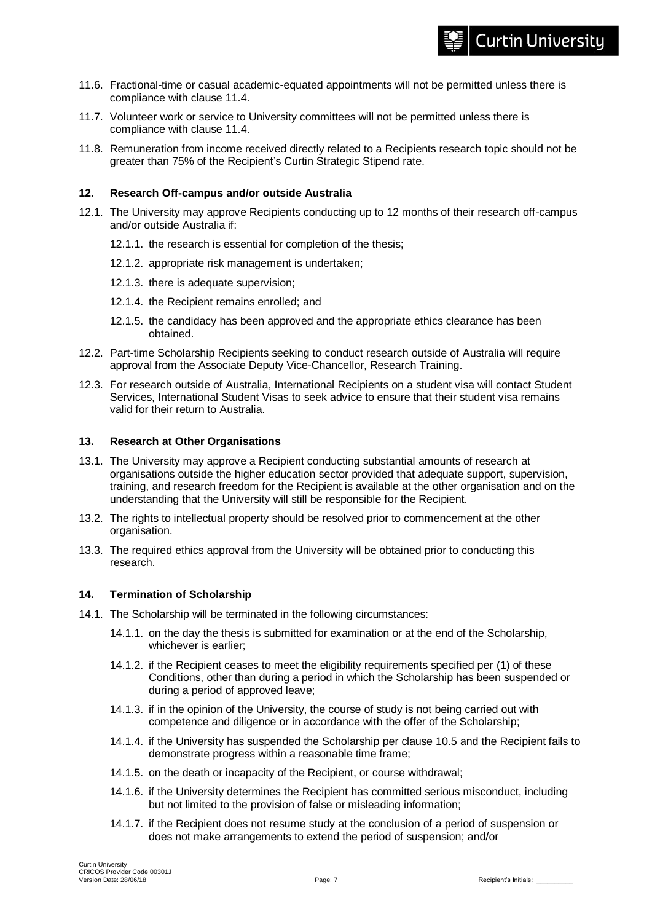- 11.6. Fractional-time or casual academic-equated appointments will not be permitted unless there is compliance with clause 11.4.
- 11.7. Volunteer work or service to University committees will not be permitted unless there is compliance with clause 11.4.
- 11.8. Remuneration from income received directly related to a Recipients research topic should not be greater than 75% of the Recipient's Curtin Strategic Stipend rate.

#### **12. Research Off-campus and/or outside Australia**

- 12.1. The University may approve Recipients conducting up to 12 months of their research off-campus and/or outside Australia if:
	- 12.1.1. the research is essential for completion of the thesis;
	- 12.1.2. appropriate risk management is undertaken;
	- 12.1.3. there is adequate supervision;
	- 12.1.4. the Recipient remains enrolled; and
	- 12.1.5. the candidacy has been approved and the appropriate ethics clearance has been obtained.
- 12.2. Part-time Scholarship Recipients seeking to conduct research outside of Australia will require approval from the Associate Deputy Vice-Chancellor, Research Training.
- 12.3. For research outside of Australia, International Recipients on a student visa will contact Student Services, International Student Visas to seek advice to ensure that their student visa remains valid for their return to Australia.

#### **13. Research at Other Organisations**

- 13.1. The University may approve a Recipient conducting substantial amounts of research at organisations outside the higher education sector provided that adequate support, supervision, training, and research freedom for the Recipient is available at the other organisation and on the understanding that the University will still be responsible for the Recipient.
- 13.2. The rights to intellectual property should be resolved prior to commencement at the other organisation.
- 13.3. The required ethics approval from the University will be obtained prior to conducting this research.

## **14. Termination of Scholarship**

- 14.1. The Scholarship will be terminated in the following circumstances:
	- 14.1.1. on the day the thesis is submitted for examination or at the end of the Scholarship, whichever is earlier;
	- 14.1.2. if the Recipient ceases to meet the eligibility requirements specified per (1) of these Conditions, other than during a period in which the Scholarship has been suspended or during a period of approved leave;
	- 14.1.3. if in the opinion of the University, the course of study is not being carried out with competence and diligence or in accordance with the offer of the Scholarship;
	- 14.1.4. if the University has suspended the Scholarship per clause 10.5 and the Recipient fails to demonstrate progress within a reasonable time frame;
	- 14.1.5. on the death or incapacity of the Recipient, or course withdrawal;
	- 14.1.6. if the University determines the Recipient has committed serious misconduct, including but not limited to the provision of false or misleading information;
	- 14.1.7. if the Recipient does not resume study at the conclusion of a period of suspension or does not make arrangements to extend the period of suspension; and/or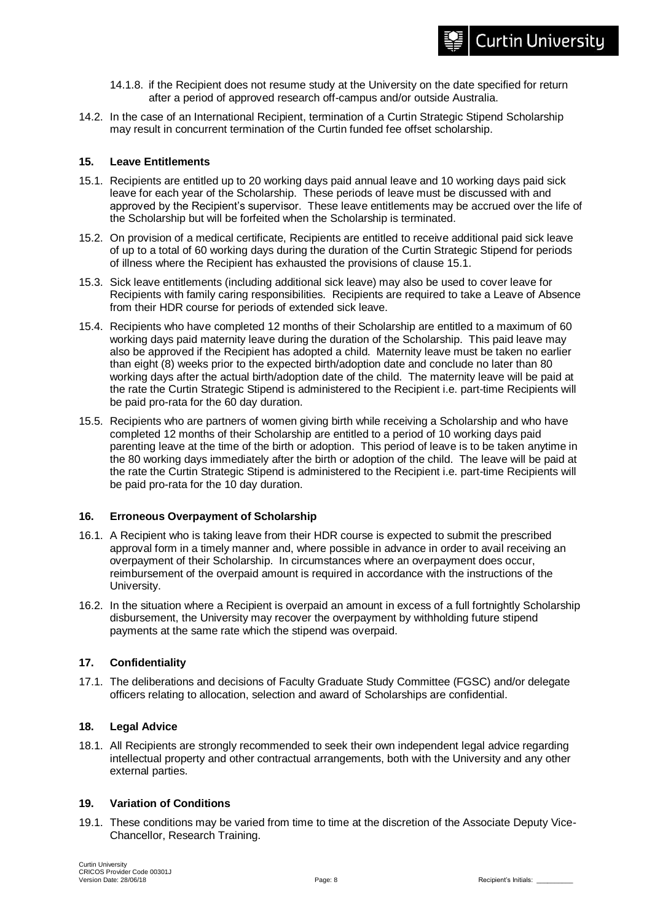- 14.1.8. if the Recipient does not resume study at the University on the date specified for return after a period of approved research off-campus and/or outside Australia.
- 14.2. In the case of an International Recipient, termination of a Curtin Strategic Stipend Scholarship may result in concurrent termination of the Curtin funded fee offset scholarship.

## **15. Leave Entitlements**

- 15.1. Recipients are entitled up to 20 working days paid annual leave and 10 working days paid sick leave for each year of the Scholarship. These periods of leave must be discussed with and approved by the Recipient's supervisor. These leave entitlements may be accrued over the life of the Scholarship but will be forfeited when the Scholarship is terminated.
- 15.2. On provision of a medical certificate, Recipients are entitled to receive additional paid sick leave of up to a total of 60 working days during the duration of the Curtin Strategic Stipend for periods of illness where the Recipient has exhausted the provisions of clause 15.1.
- 15.3. Sick leave entitlements (including additional sick leave) may also be used to cover leave for Recipients with family caring responsibilities. Recipients are required to take a Leave of Absence from their HDR course for periods of extended sick leave.
- 15.4. Recipients who have completed 12 months of their Scholarship are entitled to a maximum of 60 working days paid maternity leave during the duration of the Scholarship. This paid leave may also be approved if the Recipient has adopted a child. Maternity leave must be taken no earlier than eight (8) weeks prior to the expected birth/adoption date and conclude no later than 80 working days after the actual birth/adoption date of the child. The maternity leave will be paid at the rate the Curtin Strategic Stipend is administered to the Recipient i.e. part-time Recipients will be paid pro-rata for the 60 day duration.
- 15.5. Recipients who are partners of women giving birth while receiving a Scholarship and who have completed 12 months of their Scholarship are entitled to a period of 10 working days paid parenting leave at the time of the birth or adoption. This period of leave is to be taken anytime in the 80 working days immediately after the birth or adoption of the child. The leave will be paid at the rate the Curtin Strategic Stipend is administered to the Recipient i.e. part-time Recipients will be paid pro-rata for the 10 day duration.

## **16. Erroneous Overpayment of Scholarship**

- 16.1. A Recipient who is taking leave from their HDR course is expected to submit the prescribed approval form in a timely manner and, where possible in advance in order to avail receiving an overpayment of their Scholarship. In circumstances where an overpayment does occur, reimbursement of the overpaid amount is required in accordance with the instructions of the University.
- 16.2. In the situation where a Recipient is overpaid an amount in excess of a full fortnightly Scholarship disbursement, the University may recover the overpayment by withholding future stipend payments at the same rate which the stipend was overpaid.

## **17. Confidentiality**

17.1. The deliberations and decisions of Faculty Graduate Study Committee (FGSC) and/or delegate officers relating to allocation, selection and award of Scholarships are confidential.

# **18. Legal Advice**

18.1. All Recipients are strongly recommended to seek their own independent legal advice regarding intellectual property and other contractual arrangements, both with the University and any other external parties.

# **19. Variation of Conditions**

19.1. These conditions may be varied from time to time at the discretion of the Associate Deputy Vice-Chancellor, Research Training.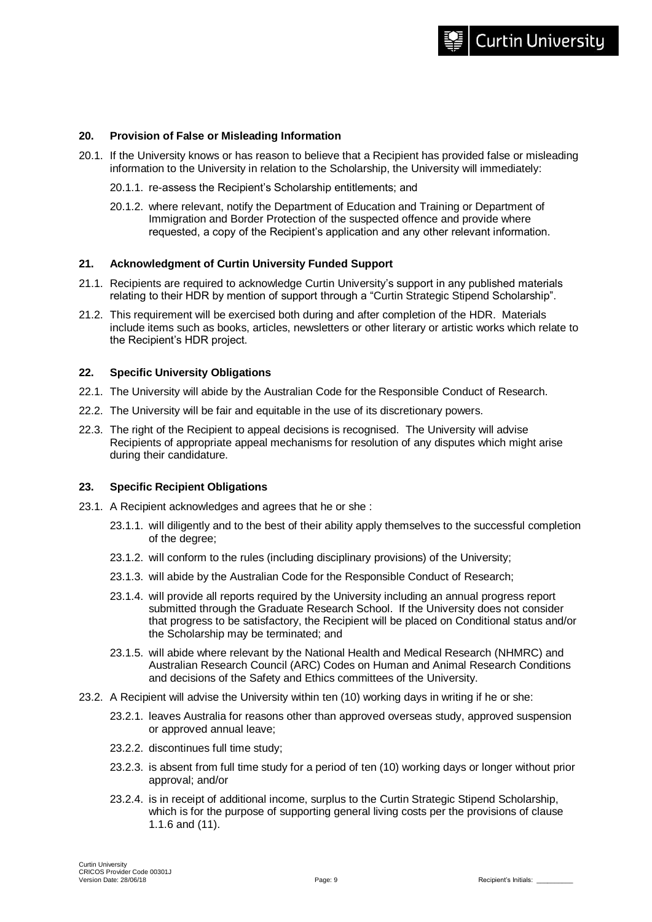#### **20. Provision of False or Misleading Information**

- 20.1. If the University knows or has reason to believe that a Recipient has provided false or misleading information to the University in relation to the Scholarship, the University will immediately:
	- 20.1.1. re-assess the Recipient's Scholarship entitlements; and
	- 20.1.2. where relevant, notify the Department of Education and Training or Department of Immigration and Border Protection of the suspected offence and provide where requested, a copy of the Recipient's application and any other relevant information.

#### **21. Acknowledgment of Curtin University Funded Support**

- 21.1. Recipients are required to acknowledge Curtin University's support in any published materials relating to their HDR by mention of support through a "Curtin Strategic Stipend Scholarship".
- 21.2. This requirement will be exercised both during and after completion of the HDR. Materials include items such as books, articles, newsletters or other literary or artistic works which relate to the Recipient's HDR project.

#### **22. Specific University Obligations**

- 22.1. The University will abide by the Australian Code for the Responsible Conduct of Research.
- 22.2. The University will be fair and equitable in the use of its discretionary powers.
- 22.3. The right of the Recipient to appeal decisions is recognised. The University will advise Recipients of appropriate appeal mechanisms for resolution of any disputes which might arise during their candidature.

#### **23. Specific Recipient Obligations**

- 23.1. A Recipient acknowledges and agrees that he or she :
	- 23.1.1. will diligently and to the best of their ability apply themselves to the successful completion of the degree;
	- 23.1.2. will conform to the rules (including disciplinary provisions) of the University;
	- 23.1.3. will abide by the Australian Code for the Responsible Conduct of Research;
	- 23.1.4. will provide all reports required by the University including an annual progress report submitted through the Graduate Research School. If the University does not consider that progress to be satisfactory, the Recipient will be placed on Conditional status and/or the Scholarship may be terminated; and
	- 23.1.5. will abide where relevant by the National Health and Medical Research (NHMRC) and Australian Research Council (ARC) Codes on Human and Animal Research Conditions and decisions of the Safety and Ethics committees of the University.
- 23.2. A Recipient will advise the University within ten (10) working days in writing if he or she:
	- 23.2.1. leaves Australia for reasons other than approved overseas study, approved suspension or approved annual leave;
	- 23.2.2. discontinues full time study;
	- 23.2.3. is absent from full time study for a period of ten (10) working days or longer without prior approval; and/or
	- 23.2.4. is in receipt of additional income, surplus to the Curtin Strategic Stipend Scholarship, which is for the purpose of supporting general living costs per the provisions of clause 1.1.6 and (11).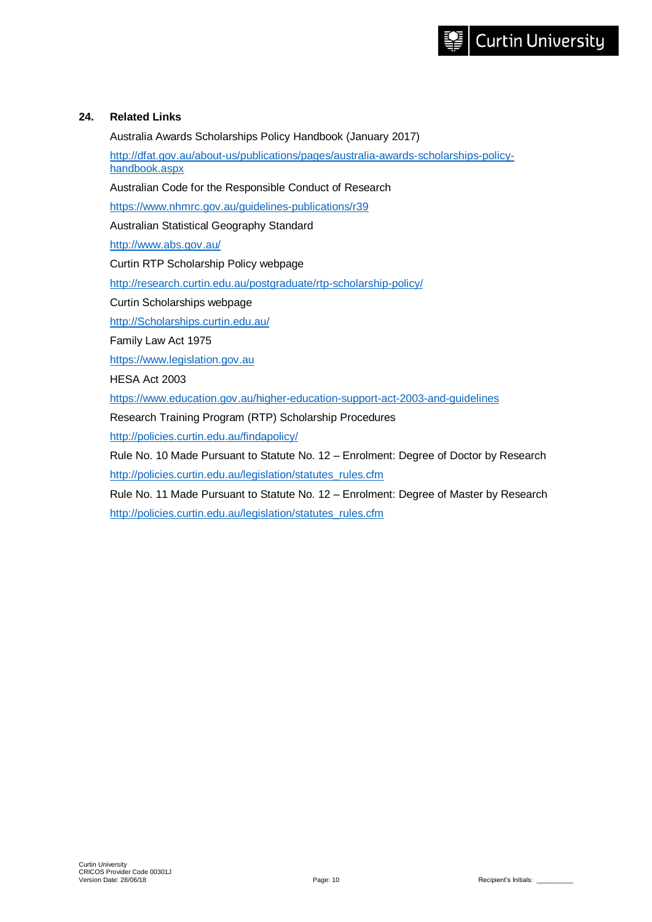## **24. Related Links**

Australia Awards Scholarships Policy Handbook (January 2017)

[http://dfat.gov.au/about-us/publications/pages/australia-awards-scholarships-policy](http://dfat.gov.au/about-us/publications/pages/australia-awards-scholarships-policy-handbook.aspx)[handbook.aspx](http://dfat.gov.au/about-us/publications/pages/australia-awards-scholarships-policy-handbook.aspx)

Australian Code for the Responsible Conduct of Research

<https://www.nhmrc.gov.au/guidelines-publications/r39>

Australian Statistical Geography Standard

<http://www.abs.gov.au/>

Curtin RTP Scholarship Policy webpage

<http://research.curtin.edu.au/postgraduate/rtp-scholarship-policy/>

Curtin Scholarships webpage

[http://Scholarships.curtin.edu.au/](http://scholarships.curtin.edu.au/)

Family Law Act 1975

[https://www.legislation.gov.au](https://www.legislation.gov.au/)

HESA Act 2003

<https://www.education.gov.au/higher-education-support-act-2003-and-guidelines>

Research Training Program (RTP) Scholarship Procedures

<http://policies.curtin.edu.au/findapolicy/>

Rule No. 10 Made Pursuant to Statute No. 12 – Enrolment: Degree of Doctor by Research [http://policies.curtin.edu.au/legislation/statutes\\_rules.cfm](http://policies.curtin.edu.au/legislation/statutes_rules.cfm)

Rule No. 11 Made Pursuant to Statute No. 12 – Enrolment: Degree of Master by Research [http://policies.curtin.edu.au/legislation/statutes\\_rules.cfm](http://policies.curtin.edu.au/legislation/statutes_rules.cfm)